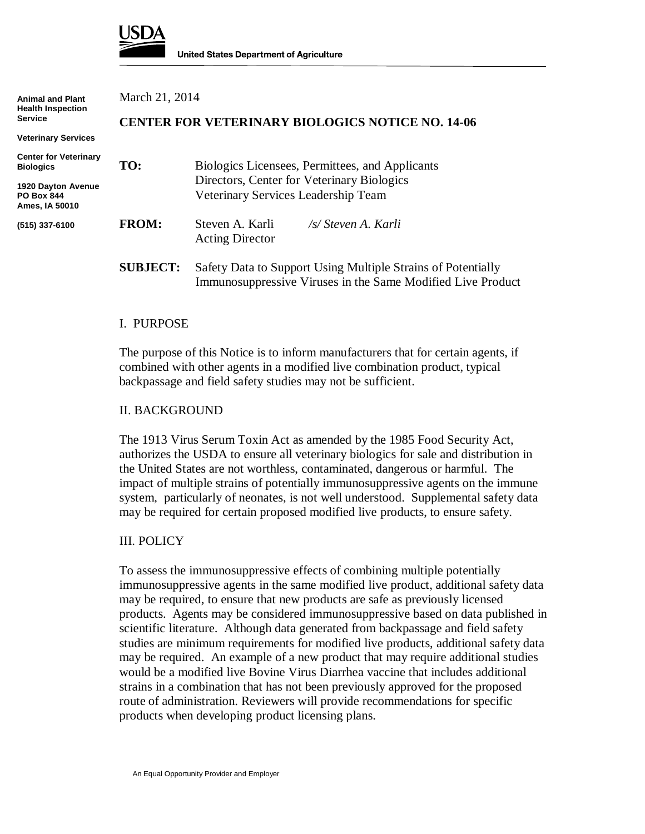

| <b>Animal and Plant</b><br><b>Health Inspection</b><br>Service | March 21, 2014                                          |                                                                                   |
|----------------------------------------------------------------|---------------------------------------------------------|-----------------------------------------------------------------------------------|
|                                                                | <b>CENTER FOR VETERINARY BIOLOGICS NOTICE NO. 14-06</b> |                                                                                   |
| <b>Veterinary Services</b>                                     |                                                         |                                                                                   |
| <b>Center for Veterinary</b><br><b>Biologics</b>               | TO:                                                     | Biologics Licensees, Permittees, and Applicants                                   |
| 1920 Dayton Avenue<br><b>PO Box 844</b><br>Ames, IA 50010      |                                                         | Directors, Center for Veterinary Biologics<br>Veterinary Services Leadership Team |
| (515) 337-6100                                                 | <b>FROM:</b>                                            | /s/ Steven A. Karli<br>Steven A. Karli<br><b>Acting Director</b>                  |
|                                                                | <b>SUBJECT:</b>                                         | Safety Data to Support Using Multiple Strains of Potentially                      |

#### I. PURPOSE

The purpose of this Notice is to inform manufacturers that for certain agents, if combined with other agents in a modified live combination product, typical backpassage and field safety studies may not be sufficient.

Immunosuppressive Viruses in the Same Modified Live Product

### II. BACKGROUND

The 1913 Virus Serum Toxin Act as amended by the 1985 Food Security Act, authorizes the USDA to ensure all veterinary biologics for sale and distribution in the United States are not worthless, contaminated, dangerous or harmful. The impact of multiple strains of potentially immunosuppressive agents on the immune system, particularly of neonates, is not well understood. Supplemental safety data may be required for certain proposed modified live products, to ensure safety.

### III. POLICY

To assess the immunosuppressive effects of combining multiple potentially immunosuppressive agents in the same modified live product, additional safety data may be required, to ensure that new products are safe as previously licensed products. Agents may be considered immunosuppressive based on data published in scientific literature. Although data generated from backpassage and field safety studies are minimum requirements for modified live products, additional safety data may be required. An example of a new product that may require additional studies would be a modified live Bovine Virus Diarrhea vaccine that includes additional strains in a combination that has not been previously approved for the proposed route of administration. Reviewers will provide recommendations for specific products when developing product licensing plans.